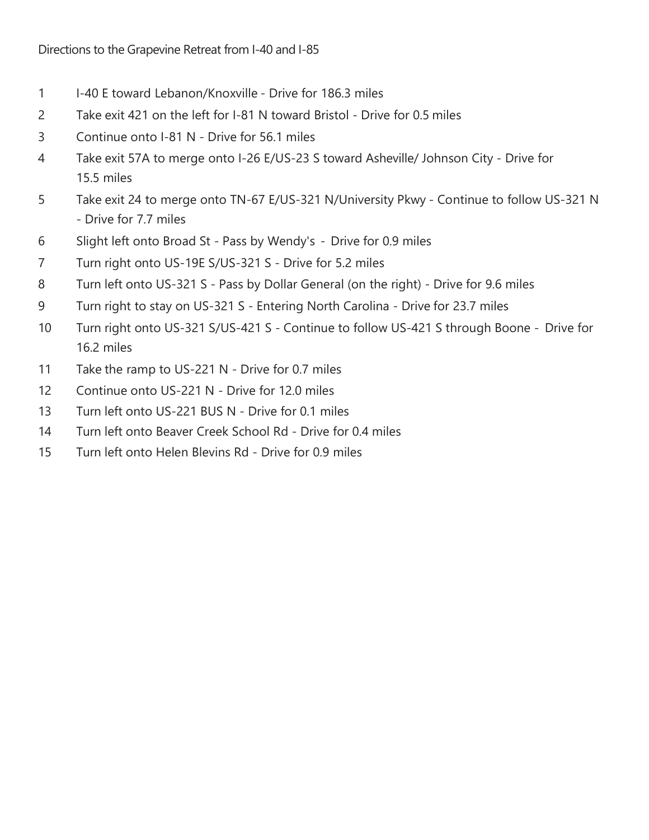- 1 I-40 E toward Lebanon/Knoxville Drive for 186.3 miles
- 2 Take exit 421 on the left for I-81 N toward Bristol Drive for 0.5 miles
- 3 Continue onto I-81 N Drive for 56.1 miles
- 4 Take exit 57A to merge onto I-26 E/US-23 S toward Asheville/ Johnson City Drive for 15.5 miles
- 5 Take exit 24 to merge onto TN-67 E/US-321 N/University Pkwy Continue to follow US-321 N - Drive for 7.7 miles
- 6 Slight left onto Broad St Pass by Wendy's Drive for 0.9 miles
- 7 Turn right onto US-19E S/US-321 S Drive for 5.2 miles
- 8 Turn left onto US-321 S Pass by Dollar General (on the right) Drive for 9.6 miles
- 9 Turn right to stay on US-321 S Entering North Carolina Drive for 23.7 miles
- 10 Turn right onto US-321 S/US-421 S Continue to follow US-421 S through Boone Drive for 16.2 miles
- 11 Take the ramp to US-221 N Drive for 0.7 miles
- 12 Continue onto US-221 N Drive for 12.0 miles
- 13 Turn left onto US-221 BUS N Drive for 0.1 miles
- 14 Turn left onto Beaver Creek School Rd Drive for 0.4 miles
- 15 Turn left onto Helen Blevins Rd Drive for 0.9 miles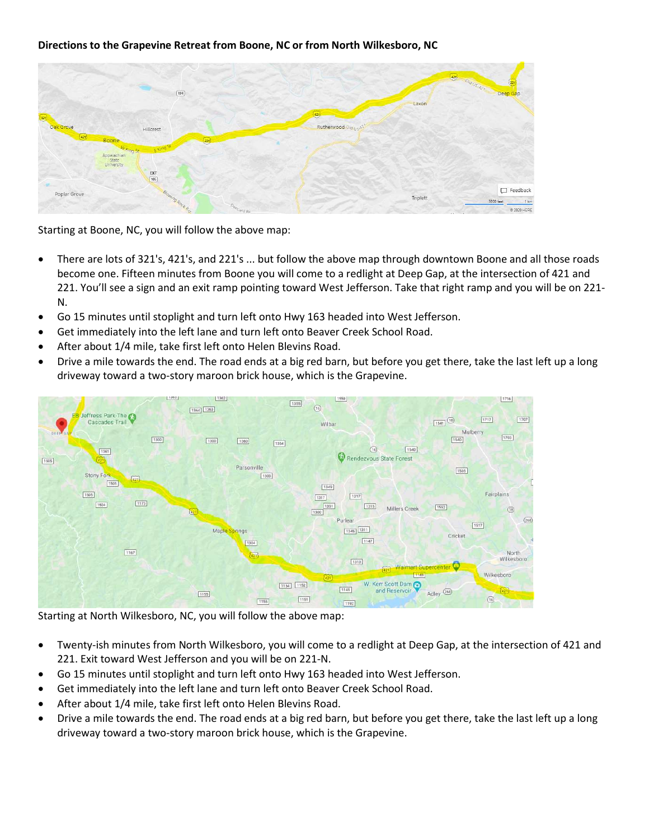## Directions to the Grapevine Retreat from Boone, NC or from North Wilkesboro, NC

|                                                     | $\boxed{194}$       |                              |                                                       |          | (a) Old US-421<br>Deep Gap       |
|-----------------------------------------------------|---------------------|------------------------------|-------------------------------------------------------|----------|----------------------------------|
| (32)<br>Oak Grove                                   | Hillcrest           |                              | $\widetilde{\left(421\right)}$<br>Rutherwood Old USA2 | Laxon    |                                  |
| (42)<br>Boone<br>Appaiachian<br>State<br>University | W King St<br>F King | $\left(\overline{22}\right)$ |                                                       |          |                                  |
| Poplar Grove                                        | EXT                 |                              |                                                       |          | $\Box$ Feedback                  |
|                                                     | Blowing Rock Ro     | Deeriveld Rd                 |                                                       | Triplett | 5000 feet<br>1 km<br>© 2020 HERE |

Starting at Boone, NC, you will follow the above map:

- There are lots of 321's, 421's, and 221's ... but follow the above map through downtown Boone and all those roads become one. Fifteen minutes from Boone you will come to a redlight at Deep Gap, at the intersection of 421 and 221. You'll see a sign and an exit ramp pointing toward West Jefferson. Take that right ramp and you will be on 221- N.
- Go 15 minutes until stoplight and turn left onto Hwy 163 headed into West Jefferson.
- Get immediately into the left lane and turn left onto Beaver Creek School Road.
- After about 1/4 mile, take first left onto Helen Blevins Road.
- Drive a mile towards the end. The road ends at a big red barn, but before you get there, take the last left up a long driveway toward a two-story maroon brick house, which is the Grapevine.



Starting at North Wilkesboro, NC, you will follow the above map:

- Twenty-ish minutes from North Wilkesboro, you will come to a redlight at Deep Gap, at the intersection of 421 and 221. Exit toward West Jefferson and you will be on 221-N.
- Go 15 minutes until stoplight and turn left onto Hwy 163 headed into West Jefferson.
- Get immediately into the left lane and turn left onto Beaver Creek School Road.
- After about 1/4 mile, take first left onto Helen Blevins Road.
- Drive a mile towards the end. The road ends at a big red barn, but before you get there, take the last left up a long driveway toward a two-story maroon brick house, which is the Grapevine.